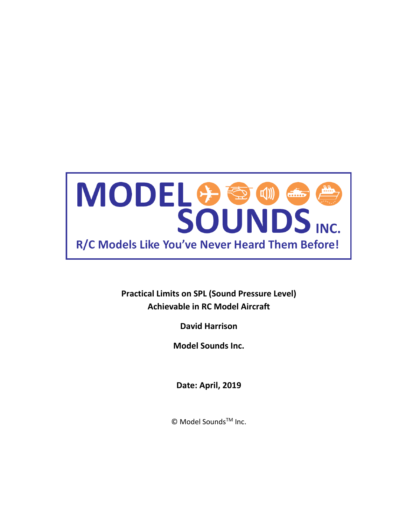

**Practical Limits on SPL (Sound Pressure Level) Achievable in RC Model Aircraft**

**David Harrison**

**Model Sounds Inc.**

**Date: April, 2019**

© Model Sounds<sup>™</sup> Inc.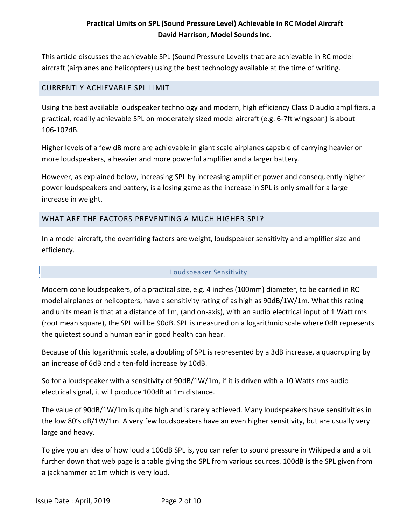This article discusses the achievable SPL (Sound Pressure Level)s that are achievable in RC model aircraft (airplanes and helicopters) using the best technology available at the time of writing.

### CURRENTLY ACHIEVABLE SPL LIMIT

Using the best available loudspeaker technology and modern, high efficiency Class D audio amplifiers, a practical, readily achievable SPL on moderately sized model aircraft (e.g. 6-7ft wingspan) is about 106-107dB.

Higher levels of a few dB more are achievable in giant scale airplanes capable of carrying heavier or more loudspeakers, a heavier and more powerful amplifier and a larger battery.

However, as explained below, increasing SPL by increasing amplifier power and consequently higher power loudspeakers and battery, is a losing game as the increase in SPL is only small for a large increase in weight.

### WHAT ARE THE FACTORS PREVENTING A MUCH HIGHER SPL?

In a model aircraft, the overriding factors are weight, loudspeaker sensitivity and amplifier size and efficiency.

#### Loudspeaker Sensitivity

Modern cone loudspeakers, of a practical size, e.g. 4 inches (100mm) diameter, to be carried in RC model airplanes or helicopters, have a sensitivity rating of as high as 90dB/1W/1m. What this rating and units mean is that at a distance of 1m, (and on-axis), with an audio electrical input of 1 Watt rms (root mean square), the SPL will be 90dB. SPL is measured on a logarithmic scale where 0dB represents the quietest sound a human ear in good health can hear.

Because of this logarithmic scale, a doubling of SPL is represented by a 3dB increase, a quadrupling by an increase of 6dB and a ten-fold increase by 10dB.

So for a loudspeaker with a sensitivity of 90dB/1W/1m, if it is driven with a 10 Watts rms audio electrical signal, it will produce 100dB at 1m distance.

The value of 90dB/1W/1m is quite high and is rarely achieved. Many loudspeakers have sensitivities in the low 80's dB/1W/1m. A very few loudspeakers have an even higher sensitivity, but are usually very large and heavy.

To give you an idea of how loud a 100dB SPL is, you can refer to sound pressure in Wikipedia and a bit further down that web page is a table giving the SPL from various sources. 100dB is the SPL given from a jackhammer at 1m which is very loud.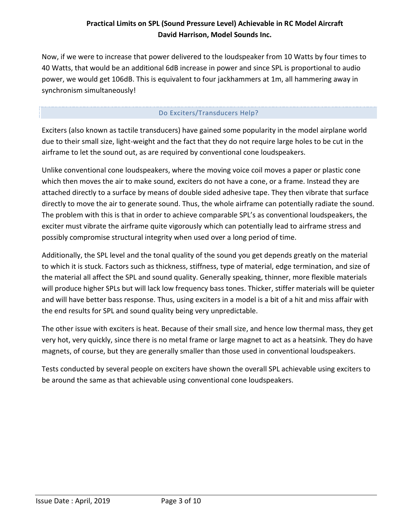Now, if we were to increase that power delivered to the loudspeaker from 10 Watts by four times to 40 Watts, that would be an additional 6dB increase in power and since SPL is proportional to audio power, we would get 106dB. This is equivalent to four jackhammers at 1m, all hammering away in synchronism simultaneously!

### Do Exciters/Transducers Help?

Exciters (also known as tactile transducers) have gained some popularity in the model airplane world due to their small size, light-weight and the fact that they do not require large holes to be cut in the airframe to let the sound out, as are required by conventional cone loudspeakers.

Unlike conventional cone loudspeakers, where the moving voice coil moves a paper or plastic cone which then moves the air to make sound, exciters do not have a cone, or a frame. Instead they are attached directly to a surface by means of double sided adhesive tape. They then vibrate that surface directly to move the air to generate sound. Thus, the whole airframe can potentially radiate the sound. The problem with this is that in order to achieve comparable SPL's as conventional loudspeakers, the exciter must vibrate the airframe quite vigorously which can potentially lead to airframe stress and possibly compromise structural integrity when used over a long period of time.

Additionally, the SPL level and the tonal quality of the sound you get depends greatly on the material to which it is stuck. Factors such as thickness, stiffness, type of material, edge termination, and size of the material all affect the SPL and sound quality. Generally speaking, thinner, more flexible materials will produce higher SPLs but will lack low frequency bass tones. Thicker, stiffer materials will be quieter and will have better bass response. Thus, using exciters in a model is a bit of a hit and miss affair with the end results for SPL and sound quality being very unpredictable.

The other issue with exciters is heat. Because of their small size, and hence low thermal mass, they get very hot, very quickly, since there is no metal frame or large magnet to act as a heatsink. They do have magnets, of course, but they are generally smaller than those used in conventional loudspeakers.

Tests conducted by several people on exciters have shown the overall SPL achievable using exciters to be around the same as that achievable using conventional cone loudspeakers.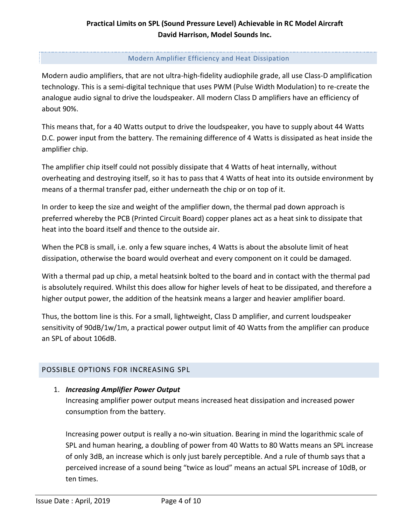### Modern Amplifier Efficiency and Heat Dissipation

Modern audio amplifiers, that are not ultra-high-fidelity audiophile grade, all use Class-D amplification technology. This is a semi-digital technique that uses PWM (Pulse Width Modulation) to re-create the analogue audio signal to drive the loudspeaker. All modern Class D amplifiers have an efficiency of about 90%.

This means that, for a 40 Watts output to drive the loudspeaker, you have to supply about 44 Watts D.C. power input from the battery. The remaining difference of 4 Watts is dissipated as heat inside the amplifier chip.

The amplifier chip itself could not possibly dissipate that 4 Watts of heat internally, without overheating and destroying itself, so it has to pass that 4 Watts of heat into its outside environment by means of a thermal transfer pad, either underneath the chip or on top of it.

In order to keep the size and weight of the amplifier down, the thermal pad down approach is preferred whereby the PCB (Printed Circuit Board) copper planes act as a heat sink to dissipate that heat into the board itself and thence to the outside air.

When the PCB is small, i.e. only a few square inches, 4 Watts is about the absolute limit of heat dissipation, otherwise the board would overheat and every component on it could be damaged.

With a thermal pad up chip, a metal heatsink bolted to the board and in contact with the thermal pad is absolutely required. Whilst this does allow for higher levels of heat to be dissipated, and therefore a higher output power, the addition of the heatsink means a larger and heavier amplifier board.

Thus, the bottom line is this. For a small, lightweight, Class D amplifier, and current loudspeaker sensitivity of 90dB/1w/1m, a practical power output limit of 40 Watts from the amplifier can produce an SPL of about 106dB.

## POSSIBLE OPTIONS FOR INCREASING SPL

## 1. *Increasing Amplifier Power Output*

Increasing amplifier power output means increased heat dissipation and increased power consumption from the battery.

Increasing power output is really a no-win situation. Bearing in mind the logarithmic scale of SPL and human hearing, a doubling of power from 40 Watts to 80 Watts means an SPL increase of only 3dB, an increase which is only just barely perceptible. And a rule of thumb says that a perceived increase of a sound being "twice as loud" means an actual SPL increase of 10dB, or ten times.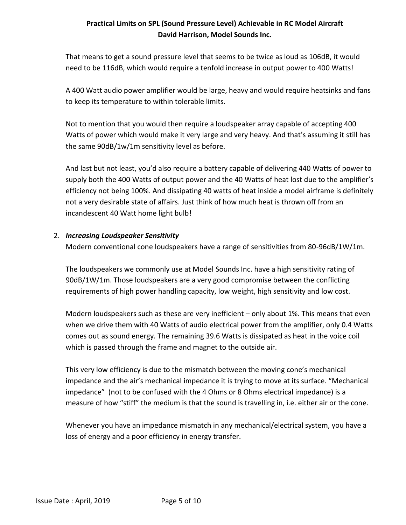That means to get a sound pressure level that seems to be twice as loud as 106dB, it would need to be 116dB, which would require a tenfold increase in output power to 400 Watts!

A 400 Watt audio power amplifier would be large, heavy and would require heatsinks and fans to keep its temperature to within tolerable limits.

Not to mention that you would then require a loudspeaker array capable of accepting 400 Watts of power which would make it very large and very heavy. And that's assuming it still has the same 90dB/1w/1m sensitivity level as before.

And last but not least, you'd also require a battery capable of delivering 440 Watts of power to supply both the 400 Watts of output power and the 40 Watts of heat lost due to the amplifier's efficiency not being 100%. And dissipating 40 watts of heat inside a model airframe is definitely not a very desirable state of affairs. Just think of how much heat is thrown off from an incandescent 40 Watt home light bulb!

### 2. *Increasing Loudspeaker Sensitivity*

Modern conventional cone loudspeakers have a range of sensitivities from 80-96dB/1W/1m.

The loudspeakers we commonly use at Model Sounds Inc. have a high sensitivity rating of 90dB/1W/1m. Those loudspeakers are a very good compromise between the conflicting requirements of high power handling capacity, low weight, high sensitivity and low cost.

Modern loudspeakers such as these are very inefficient – only about 1%. This means that even when we drive them with 40 Watts of audio electrical power from the amplifier, only 0.4 Watts comes out as sound energy. The remaining 39.6 Watts is dissipated as heat in the voice coil which is passed through the frame and magnet to the outside air.

This very low efficiency is due to the mismatch between the moving cone's mechanical impedance and the air's mechanical impedance it is trying to move at its surface. "Mechanical impedance" (not to be confused with the 4 Ohms or 8 Ohms electrical impedance) is a measure of how "stiff" the medium is that the sound is travelling in, i.e. either air or the cone.

Whenever you have an impedance mismatch in any mechanical/electrical system, you have a loss of energy and a poor efficiency in energy transfer.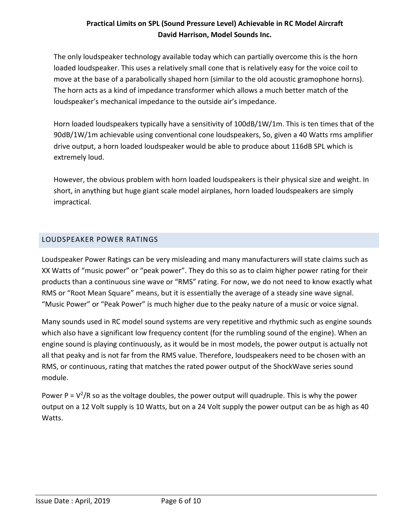The only loudspeaker technology available today which can partially overcome this is the horn loaded loudspeaker. This uses a relatively small cone that is relatively easy for the voice coil to move at the base of a parabolically shaped horn (similar to the old acoustic gramophone horns). The horn acts as a kind of impedance transformer which allows a much better match of the loudspeaker's mechanical impedance to the outside air's impedance.

Horn loaded loudspeakers typically have a sensitivity of 100dB/1W/1m. This is ten times that of the 90dB/1W/1m achievable using conventional cone loudspeakers, So, given a 40 Watts rms amplifier drive output, a horn loaded loudspeaker would be able to produce about 116dB SPL which is extremely loud.

However, the obvious problem with horn loaded loudspeakers is their physical size and weight. In short, in anything but huge giant scale model airplanes, horn loaded loudspeakers are simply impractical.

### LOUDSPEAKER POWER RATINGS

Loudspeaker Power Ratings can be very misleading and many manufacturers will state claims such as XX Watts of "music power" or "peak power". They do this so as to claim higher power rating for their products than a continuous sine wave or "RMS" rating. For now, we do not need to know exactly what RMS or "Root Mean Square" means, but it is essentially the average of a steady sine wave signal. "Music Power" or "Peak Power" is much higher due to the peaky nature of a music or voice signal.

Many sounds used in RC model sound systems are very repetitive and rhythmic such as engine sounds which also have a significant low frequency content (for the rumbling sound of the engine). When an engine sound is playing continuously, as it would be in most models, the power output is actually not all that peaky and is not far from the RMS value. Therefore, loudspeakers need to be chosen with an RMS, or continuous, rating that matches the rated power output of the ShockWave series sound module.

Power P =  $V^2/R$  so as the voltage doubles, the power output will quadruple. This is why the power output on a 12 Volt supply is 10 Watts, but on a 24 Volt supply the power output can be as high as 40 Watts.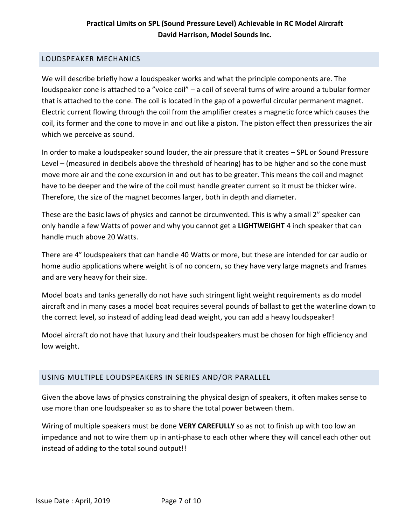#### LOUDSPEAKER MECHANICS

We will describe briefly how a loudspeaker works and what the principle components are. The loudspeaker cone is attached to a "voice coil" – a coil of several turns of wire around a tubular former that is attached to the cone. The coil is located in the gap of a powerful circular permanent magnet. Electric current flowing through the coil from the amplifier creates a magnetic force which causes the coil, its former and the cone to move in and out like a piston. The piston effect then pressurizes the air which we perceive as sound.

In order to make a loudspeaker sound louder, the air pressure that it creates – SPL or Sound Pressure Level – (measured in decibels above the threshold of hearing) has to be higher and so the cone must move more air and the cone excursion in and out has to be greater. This means the coil and magnet have to be deeper and the wire of the coil must handle greater current so it must be thicker wire. Therefore, the size of the magnet becomes larger, both in depth and diameter.

These are the basic laws of physics and cannot be circumvented. This is why a small 2" speaker can only handle a few Watts of power and why you cannot get a **LIGHTWEIGHT** 4 inch speaker that can handle much above 20 Watts.

There are 4" loudspeakers that can handle 40 Watts or more, but these are intended for car audio or home audio applications where weight is of no concern, so they have very large magnets and frames and are very heavy for their size.

Model boats and tanks generally do not have such stringent light weight requirements as do model aircraft and in many cases a model boat requires several pounds of ballast to get the waterline down to the correct level, so instead of adding lead dead weight, you can add a heavy loudspeaker!

Model aircraft do not have that luxury and their loudspeakers must be chosen for high efficiency and low weight.

#### USING MULTIPLE LOUDSPEAKERS IN SERIES AND/OR PARALLEL

Given the above laws of physics constraining the physical design of speakers, it often makes sense to use more than one loudspeaker so as to share the total power between them.

Wiring of multiple speakers must be done **VERY CAREFULLY** so as not to finish up with too low an impedance and not to wire them up in anti-phase to each other where they will cancel each other out instead of adding to the total sound output!!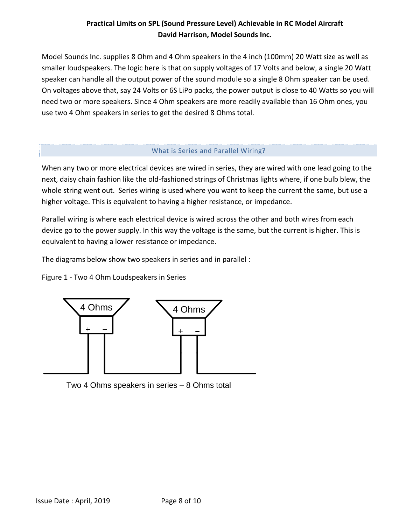Model Sounds Inc. supplies 8 Ohm and 4 Ohm speakers in the 4 inch (100mm) 20 Watt size as well as smaller loudspeakers. The logic here is that on supply voltages of 17 Volts and below, a single 20 Watt speaker can handle all the output power of the sound module so a single 8 Ohm speaker can be used. On voltages above that, say 24 Volts or 6S LiPo packs, the power output is close to 40 Watts so you will need two or more speakers. Since 4 Ohm speakers are more readily available than 16 Ohm ones, you use two 4 Ohm speakers in series to get the desired 8 Ohms total.

#### What is Series and Parallel Wiring?

When any two or more electrical devices are wired in series, they are wired with one lead going to the next, daisy chain fashion like the old-fashioned strings of Christmas lights where, if one bulb blew, the whole string went out. Series wiring is used where you want to keep the current the same, but use a higher voltage. This is equivalent to having a higher resistance, or impedance.

Parallel wiring is where each electrical device is wired across the other and both wires from each device go to the power supply. In this way the voltage is the same, but the current is higher. This is equivalent to having a lower resistance or impedance.

The diagrams below show two speakers in series and in parallel :

Figure 1 - Two 4 Ohm Loudspeakers in Series



Two 4 Ohms speakers in series – 8 Ohms total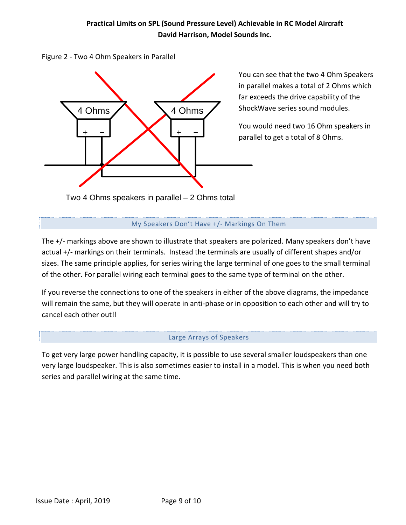



You can see that the two 4 Ohm Speakers in parallel makes a total of 2 Ohms which far exceeds the drive capability of the ShockWave series sound modules.

You would need two 16 Ohm speakers in parallel to get a total of 8 Ohms.

Two 4 Ohms speakers in parallel – 2 Ohms total

## My Speakers Don't Have +/- Markings On Them

The +/- markings above are shown to illustrate that speakers are polarized. Many speakers don't have actual +/- markings on their terminals. Instead the terminals are usually of different shapes and/or sizes. The same principle applies, for series wiring the large terminal of one goes to the small terminal of the other. For parallel wiring each terminal goes to the same type of terminal on the other.

If you reverse the connections to one of the speakers in either of the above diagrams, the impedance will remain the same, but they will operate in anti-phase or in opposition to each other and will try to cancel each other out!!

## Large Arrays of Speakers

To get very large power handling capacity, it is possible to use several smaller loudspeakers than one very large loudspeaker. This is also sometimes easier to install in a model. This is when you need both series and parallel wiring at the same time.